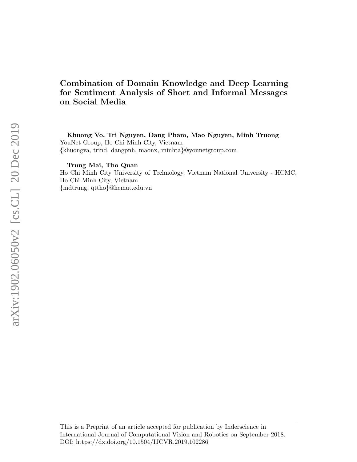# Combination of Domain Knowledge and Deep Learning for Sentiment Analysis of Short and Informal Messages on Social Media

Khuong Vo, Tri Nguyen, Dang Pham, Mao Nguyen, Minh Truong YouNet Group, Ho Chi Minh City, Vietnam {khuongva, trind, dangpnh, maonx, minhta}@younetgroup.com

Trung Mai, Tho Quan

Ho Chi Minh City University of Technology, Vietnam National University - HCMC, Ho Chi Minh City, Vietnam {mdtrung, qttho}@hcmut.edu.vn

This is a Preprint of an article accepted for publication by Inderscience in International Journal of Computational Vision and Robotics on September 2018. DOI: https://dx.doi.org/10.1504/IJCVR.2019.102286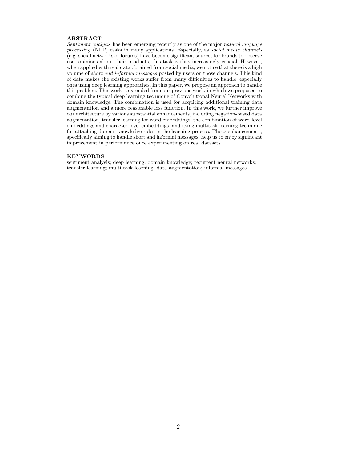#### ABSTRACT

Sentiment analysis has been emerging recently as one of the major natural language processing (NLP) tasks in many applications. Especially, as social media channels (e.g. social networks or forums) have become significant sources for brands to observe user opinions about their products, this task is thus increasingly crucial. However, when applied with real data obtained from social media, we notice that there is a high volume of short and informal messages posted by users on those channels. This kind of data makes the existing works suffer from many difficulties to handle, especially ones using deep learning approaches. In this paper, we propose an approach to handle this problem. This work is extended from our previous work, in which we proposed to combine the typical deep learning technique of Convolutional Neural Networks with domain knowledge. The combination is used for acquiring additional training data augmentation and a more reasonable loss function. In this work, we further improve our architecture by various substantial enhancements, including negation-based data augmentation, transfer learning for word embeddings, the combination of word-level embeddings and character-level embeddings, and using multitask learning technique for attaching domain knowledge rules in the learning process. Those enhancements, specifically aiming to handle short and informal messages, help us to enjoy significant improvement in performance once experimenting on real datasets.

#### KEYWORDS

sentiment analysis; deep learning; domain knowledge; recurrent neural networks; transfer learning; multi-task learning; data augmentation; informal messages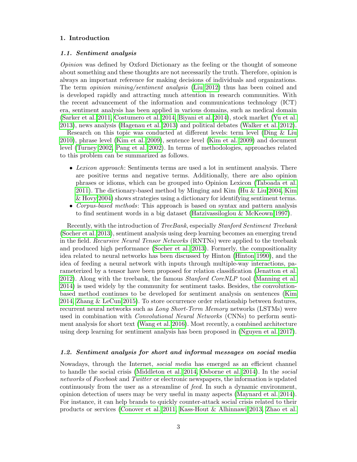## 1. Introduction

### 1.1. Sentiment analysis

Opinion was defined by Oxford Dictionary as the feeling or the thought of someone about something and these thoughts are not necessarily the truth. Therefore, opinion is always an important reference for making decisions of individuals and organizations. The term opinion mining/sentiment analysis [\(Liu 2012\)](#page-24-0) thus has been coined and is developed rapidly and attracting much attention in research communities. With the recent advancement of the information and communications technology (ICT) era, sentiment analysis has been applied in various domains, such as medical domain [\(Sarker et al. 2011,](#page-25-0) [Costumero et al. 2014,](#page-23-0) [Biyani et al. 2014\)](#page-23-1), stock market [\(Yu et al.](#page-25-1) [2013\)](#page-25-1), news analysis [\(Hagenau et al. 2013\)](#page-23-2) and political debates [\(Walker et al. 2012\)](#page-25-2).

Research on this topic was conducted at different levels: term level [\(Ding & Liu](#page-23-3) [2010\)](#page-23-3), phrase level [\(Kim et al. 2009\)](#page-24-1), sentence level [\(Kim et al. 2009\)](#page-24-1) and document level [\(Turney 2002,](#page-25-3) [Pang et al. 2002\)](#page-24-2). In terms of methodologies, approaches related to this problem can be summarized as follows.

- Lexicon approach: Sentiments terms are used a lot in sentiment analysis. There are positive terms and negative terms. Additionally, there are also opinion phrases or idioms, which can be grouped into Opinion Lexicon [\(Taboada et al.](#page-25-4) [2011\)](#page-25-4). The dictionary-based method by Minging and Kim [\(Hu & Liu 2004,](#page-23-4) [Kim](#page-24-3) [& Hovy 2004\)](#page-24-3) shows strategies using a dictionary for identifying sentiment terms.
- Corpus-based methods: This approach is based on syntax and pattern analysis to find sentiment words in a big dataset [\(Hatzivassiloglou & McKeown 1997\)](#page-23-5).

Recently, with the introduction of TreeBank, especially Stanford Sentiment Treebank [\(Socher et al. 2013\)](#page-25-5), sentiment analysis using deep learning becomes an emerging trend in the field. Recursive Neural Tensor Networks (RNTNs) were applied to the treebank and produced high performance [\(Socher et al. 2013\)](#page-25-5). Formerly, the compositionality idea related to neural networks has been discussed by Hinton [\(Hinton 1990\)](#page-23-6), and the idea of feeding a neural network with inputs through multiple-way interactions, parameterized by a tensor have been proposed for relation classification [\(Jenatton et al.](#page-23-7) [2012\)](#page-23-7). Along with the treebank, the famous Stanford CoreNLP tool [\(Manning et al.](#page-24-4) [2014\)](#page-24-4) is used widely by the community for sentiment tasks. Besides, the convolutionbased method continues to be developed for sentiment analysis on sentences [\(Kim](#page-24-5) [2014,](#page-24-5) [Zhang & LeCun 2015\)](#page-25-6). To store occurrence order relationship between features, recurrent neural networks such as Long Short-Term Memory networks (LSTMs) were used in combination with Convolutional Neural Networks (CNNs) to perform sentiment analysis for short text [\(Wang et al. 2016\)](#page-25-7). Most recently, a combined architecture using deep learning for sentiment analysis has been proposed in [\(Nguyen et al. 2017\)](#page-24-6).

## 1.2. Sentiment analysis for short and informal messages on social media

Nowadays, through the Internet, social media has emerged as an efficient channel to handle the social crisis [\(Middleton et al. 2014,](#page-24-7) [Osborne et al. 2014\)](#page-24-8). In the social networks of Facebook and Twitter or electronic newspapers, the information is updated continuously from the user as a streamline of feed. In such a dynamic environment, opinion detection of users may be very useful in many aspects [\(Maynard et al. 2014\)](#page-24-9). For instance, it can help brands to quickly counter-attack social crisis related to their products or services [\(Conover et al. 2011,](#page-23-8) [Kass-Hout & Alhinnawi 2013,](#page-23-9) [Zhao et al.](#page-25-8)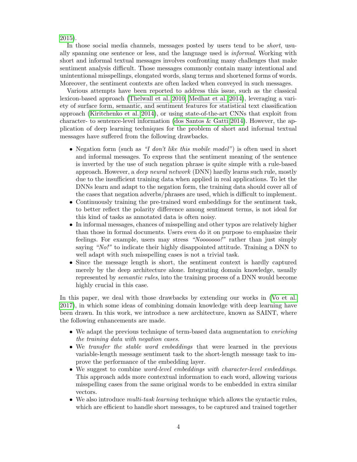[2015\)](#page-25-8).

In those social media channels, messages posted by users tend to be *short*, usually spanning one sentence or less, and the language used is informal. Working with short and informal textual messages involves confronting many challenges that make sentiment analysis difficult. Those messages commonly contain many intentional and unintentional misspellings, elongated words, slang terms and shortened forms of words. Moreover, the sentiment contexts are often lacked when conveyed in such messages.

Various attempts have been reported to address this issue, such as the classical lexicon-based approach [\(Thelwall et al. 2010,](#page-25-9) [Medhat et al. 2014\)](#page-24-10), leveraging a variety of surface form, semantic, and sentiment features for statistical text classification approach [\(Kiritchenko et al. 2014\)](#page-24-11), or using state-of-the-art CNNs that exploit from character- to sentence-level information [\(dos Santos & Gatti 2014\)](#page-23-10). However, the application of deep learning techniques for the problem of short and informal textual messages have suffered from the following drawbacks.

- Negation form (such as "I don't like this mobile model") is often used in short and informal messages. To express that the sentiment meaning of the sentence is inverted by the use of such negation phrase is quite simple with a rule-based approach. However, a deep neural network (DNN) hardly learns such rule, mostly due to the insufficient training data when applied in real applications. To let the DNNs learn and adapt to the negation form, the training data should cover all of the cases that negation adverbs/phrases are used, which is difficult to implement.
- Continuously training the pre-trained word embeddings for the sentiment task, to better reflect the polarity difference among sentiment terms, is not ideal for this kind of tasks as annotated data is often noisy.
- In informal messages, chances of misspelling and other typos are relatively higher than those in formal documents. Users even do it on purpose to emphasize their feelings. For example, users may stress "Nooooooo!" rather than just simply saying "No!" to indicate their highly disappointed attitude. Training a DNN to well adapt with such misspelling cases is not a trivial task.
- Since the message length is short, the sentiment context is hardly captured merely by the deep architecture alone. Integrating domain knowledge, usually represented by semantic rules, into the training process of a DNN would become highly crucial in this case.

In this paper, we deal with those drawbacks by extending our works in [\(Vo et al.](#page-25-10) [2017\)](#page-25-10), in which some ideas of combining domain knowledge with deep learning have been drawn. In this work, we introduce a new architecture, known as SAINT, where the following enhancements are made.

- We adapt the previous technique of term-based data augmentation to enriching the training data with negation cases.
- We transfer the stable word embeddings that were learned in the previous variable-length message sentiment task to the short-length message task to improve the performance of the embedding layer.
- We suggest to combine word-level embeddings with character-level embeddings. This approach adds more contextual information to each word, allowing various misspelling cases from the same original words to be embedded in extra similar vectors.
- We also introduce *multi-task learning* technique which allows the syntactic rules, which are efficient to handle short messages, to be captured and trained together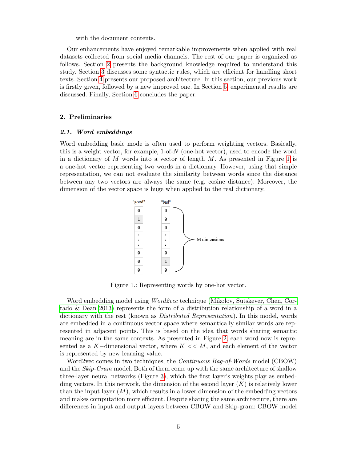with the document contents.

Our enhancements have enjoyed remarkable improvements when applied with real datasets collected from social media channels. The rest of our paper is organized as follows. Section [2](#page-4-0) presents the background knowledge required to understand this study. Section [3](#page-12-0) discusses some syntactic rules, which are efficient for handling short texts. Section [4](#page-12-1) presents our proposed architecture. In this section, our previous work is firstly given, followed by a new improved one. In Section [5,](#page-19-0) experimental results are discussed. Finally, Section [6](#page-21-0) concludes the paper.

### <span id="page-4-0"></span>2. Preliminaries

### 2.1. Word embeddings

<span id="page-4-1"></span>Word embedding basic mode is often used to perform weighting vectors. Basically, this is a weight vector, for example,  $1$ -of- $N$  (one-hot vector), used to encode the word in a dictionary of  $M$  words into a vector of length  $M$ . As presented in Figure [1](#page-4-1) is a one-hot vector representing two words in a dictionary. However, using that simple representation, we can not evaluate the similarity between words since the distance between any two vectors are always the same (e.g. cosine distance). Moreover, the dimension of the vector space is huge when applied to the real dictionary.



Figure 1.: Representing words by one-hot vector.

Word embedding model using *Word2vec* technique [\(Mikolov, Sutskever, Chen, Cor](#page-24-12)[rado & Dean 2013\)](#page-24-12) represents the form of a distribution relationship of a word in a dictionary with the rest (known as Distributed Representation). In this model, words are embedded in a continuous vector space where semantically similar words are represented in adjacent points. This is based on the idea that words sharing semantic meaning are in the same contexts. As presented in Figure [2,](#page-5-0) each word now is represented as a K-dimensional vector, where  $K \ll M$ , and each element of the vector is represented by new learning value.

Word2vec comes in two techniques, the *Continuous Bag-of-Words* model (CBOW) and the *Skip-Gram* model. Both of them come up with the same architecture of shallow three-layer neural networks (Figure [3\)](#page-5-1), which the first layer's weights play as embedding vectors. In this network, the dimension of the second layer  $(K)$  is relatively lower than the input layer  $(M)$ , which results in a lower dimension of the embedding vectors and makes computation more efficient. Despite sharing the same architecture, there are differences in input and output layers between CBOW and Skip-gram: CBOW model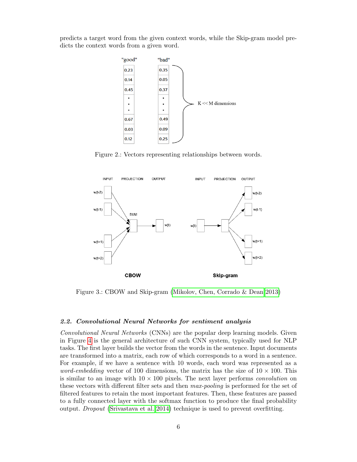<span id="page-5-0"></span>predicts a target word from the given context words, while the Skip-gram model predicts the context words from a given word.



Figure 2.: Vectors representing relationships between words.

<span id="page-5-1"></span>

Figure 3.: CBOW and Skip-gram [\(Mikolov, Chen, Corrado & Dean 2013\)](#page-24-13)

### 2.2. Convolutional Neural Networks for sentiment analysis

Convolutional Neural Networks (CNNs) are the popular deep learning models. Given in Figure [4](#page-6-0) is the general architecture of such CNN system, typically used for NLP tasks. The first layer builds the vector from the words in the sentence. Input documents are transformed into a matrix, each row of which corresponds to a word in a sentence. For example, if we have a sentence with 10 words, each word was represented as a *word-embedding* vector of 100 dimensions, the matrix has the size of  $10 \times 100$ . This is similar to an image with  $10 \times 100$  pixels. The next layer performs *convolution* on these vectors with different filter sets and then max-pooling is performed for the set of filtered features to retain the most important features. Then, these features are passed to a fully connected layer with the softmax function to produce the final probability output. Dropout [\(Srivastava et al. 2014\)](#page-25-11) technique is used to prevent overfitting.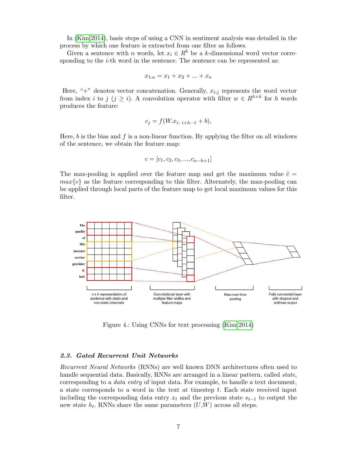In [\(Kim 2014\)](#page-24-5), basic steps of using a CNN in sentiment analysis was detailed in the process by which one feature is extracted from one filter as follows.

Given a sentence with n words, let  $x_i \in R^k$  be a k-dimensional word vector corresponding to the  $i$ -th word in the sentence. The sentence can be represented as:

$$
x_{1:n} = x_1 + x_2 + \dots + x_n
$$

Here, " $+$ " denotes vector concatenation. Generally,  $x_{i:j}$  represents the word vector from index *i* to j (j ≥ *i*). A convolution operator with filter  $w \in R^{h \times k}$  for h words produces the feature:

$$
c_j = f(W \cdot x_{i \colon i+h-1} + b),
$$

Here,  $b$  is the bias and  $f$  is a non-linear function. By applying the filter on all windows of the sentence, we obtain the feature map:

$$
c = [c_1, c_2, c_3, ..., c_{n-h+1}]
$$

The max-pooling is applied over the feature map and get the maximum value  $\hat{c} =$  $max{c}$  as the feature corresponding to this filter. Alternately, the max-pooling can be applied through local parts of the feature map to get local maximum values for this filter.

<span id="page-6-0"></span>

Figure 4.: Using CNNs for text processing [\(Kim 2014\)](#page-24-5)

### 2.3. Gated Recurrent Unit Networks

Recurrent Neural Networks (RNNs) are well known DNN architectures often used to handle sequential data. Basically, RNNs are arranged in a linear pattern, called *state*, corresponding to a data entry of input data. For example, to handle a text document, a state corresponds to a word in the text at timestep t. Each state received input including the corresponding data entry  $x_t$  and the previous state  $s_{t-1}$  to output the new state  $h_t$ . RNNs share the same parameters  $(U,W)$  across all steps.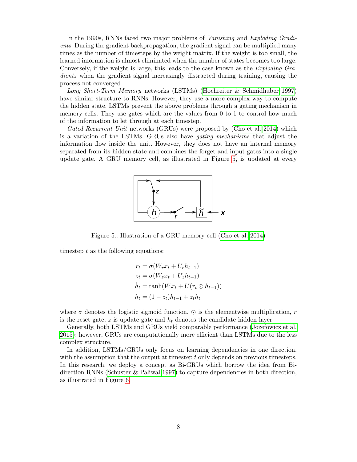In the 1990s, RNNs faced two major problems of Vanishing and Exploding Gradients. During the gradient backpropagation, the gradient signal can be multiplied many times as the number of timesteps by the weight matrix. If the weight is too small, the learned information is almost eliminated when the number of states becomes too large. Conversely, if the weight is large, this leads to the case known as the *Exploding Gra*dients when the gradient signal increasingly distracted during training, causing the process not converged.

Long Short-Term Memory networks (LSTMs) [\(Hochreiter & Schmidhuber 1997\)](#page-23-11) have similar structure to RNNs. However, they use a more complex way to compute the hidden state. LSTMs prevent the above problems through a gating mechanism in memory cells. They use gates which are the values from 0 to 1 to control how much of the information to let through at each timestep.

<span id="page-7-0"></span>Gated Recurrent Unit networks (GRUs) were proposed by [\(Cho et al. 2014\)](#page-23-12) which is a variation of the LSTMs. GRUs also have gating mechanisms that adjust the information flow inside the unit. However, they does not have an internal memory separated from its hidden state and combines the forget and input gates into a single update gate. A GRU memory cell, as illustrated in Figure [5,](#page-7-0) is updated at every



Figure 5.: Illustration of a GRU memory cell [\(Cho et al. 2014\)](#page-23-12)

timestep  $t$  as the following equations:

$$
r_t = \sigma(W_r x_t + U_r h_{t-1})
$$
  
\n
$$
z_t = \sigma(W_z x_t + U_z h_{t-1})
$$
  
\n
$$
\hat{h}_t = \tanh(W x_t + U(r_t \odot h_{t-1}))
$$
  
\n
$$
h_t = (1 - z_t)h_{t-1} + z_t \hat{h}_t
$$

where  $\sigma$  denotes the logistic sigmoid function,  $\odot$  is the elementwise multiplication, r is the reset gate, z is update gate and  $\hat{h}_t$  denotes the candidate hidden layer.

Generally, both LSTMs and GRUs yield comparable performance [\(Jozefowicz et al.](#page-23-13) [2015\)](#page-23-13); however, GRUs are computationally more efficient than LSTMs due to the less complex structure.

In addition, LSTMs/GRUs only focus on learning dependencies in one direction, with the assumption that the output at timestep  $t$  only depends on previous timesteps. In this research, we deploy a concept as Bi-GRUs which borrow the idea from Bidirection RNNs [\(Schuster & Paliwal 1997\)](#page-25-12) to capture dependencies in both direction, as illustrated in Figure [6.](#page-8-0)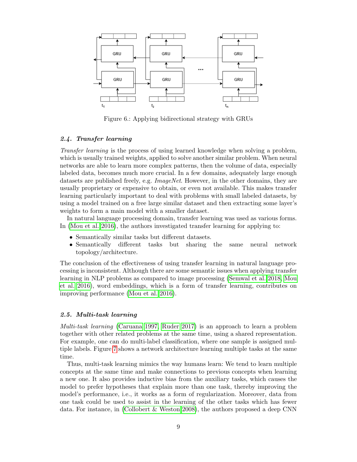<span id="page-8-0"></span>

Figure 6.: Applying bidirectional strategy with GRUs

## 2.4. Transfer learning

Transfer learning is the process of using learned knowledge when solving a problem, which is usually trained weights, applied to solve another similar problem. When neural networks are able to learn more complex patterns, then the volume of data, especially labeled data, becomes much more crucial. In a few domains, adequately large enough datasets are published freely, e.g. ImageNet. However, in the other domains, they are usually proprietary or expensive to obtain, or even not available. This makes transfer learning particularly important to deal with problems with small labeled datasets, by using a model trained on a free large similar dataset and then extracting some layer's weights to form a main model with a smaller dataset.

In natural language processing domain, transfer learning was used as various forms. In [\(Mou et al. 2016\)](#page-24-14), the authors investigated transfer learning for applying to:

- Semantically similar tasks but different datasets.
- Semantically different tasks but sharing the same neural network topology/architecture.

The conclusion of the effectiveness of using transfer learning in natural language processing is inconsistent. Although there are some semantic issues when applying transfer learning in NLP problems as compared to image processing [\(Semwal et al. 2018,](#page-25-13) [Mou](#page-24-14) [et al. 2016\)](#page-24-14), word embeddings, which is a form of transfer learning, contributes on improving performance [\(Mou et al. 2016\)](#page-24-14).

## 2.5. Multi-task learning

Multi-task learning [\(Caruana 1997,](#page-23-14) [Ruder 2017\)](#page-25-14) is an approach to learn a problem together with other related problems at the same time, using a shared representation. For example, one can do multi-label classification, where one sample is assigned multiple labels. Figure [7](#page-9-0) shows a network architecture learning multiple tasks at the same time.

Thus, multi-task learning mimics the way humans learn: We tend to learn multiple concepts at the same time and make connections to previous concepts when learning a new one. It also provides inductive bias from the auxiliary tasks, which causes the model to prefer hypotheses that explain more than one task, thereby improving the model's performance, i.e., it works as a form of regularization. Moreover, data from one task could be used to assist in the learning of the other tasks which has fewer data. For instance, in [\(Collobert & Weston 2008\)](#page-23-15), the authors proposed a deep CNN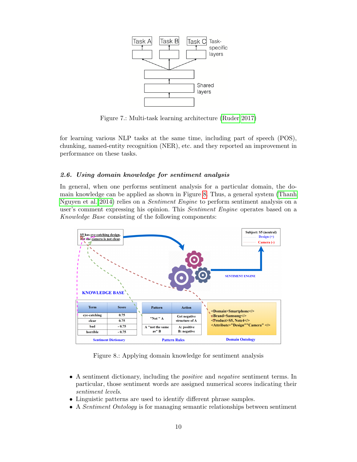<span id="page-9-0"></span>

Figure 7.: Multi-task learning architecture [\(Ruder 2017\)](#page-25-14)

for learning various NLP tasks at the same time, including part of speech (POS), chunking, named-entity recognition (NER), etc. and they reported an improvement in performance on these tasks.

## 2.6. Using domain knowledge for sentiment analysis

In general, when one performs sentiment analysis for a particular domain, the domain knowledge can be applied as shown in Figure [8.](#page-9-1) Thus, a general system [\(Thanh](#page-25-15) [Nguyen et al. 2014\)](#page-25-15) relies on a Sentiment Engine to perform sentiment analysis on a user's comment expressing his opinion. This Sentiment Engine operates based on a Knowledge Base consisting of the following components:

<span id="page-9-1"></span>

Figure 8.: Applying domain knowledge for sentiment analysis

- A sentiment dictionary, including the positive and negative sentiment terms. In particular, those sentiment words are assigned numerical scores indicating their sentiment levels.
- Linguistic patterns are used to identify different phrase samples.
- A *Sentiment Ontology* is for managing semantic relationships between sentiment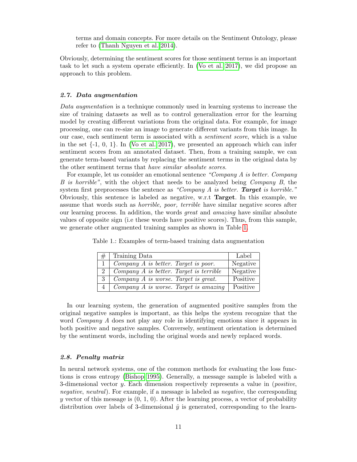terms and domain concepts. For more details on the Sentiment Ontology, please refer to [\(Thanh Nguyen et al. 2014\)](#page-25-15).

Obviously, determining the sentiment scores for those sentiment terms is an important task to let such a system operate efficiently. In [\(Vo et al. 2017\)](#page-25-10), we did propose an approach to this problem.

### 2.7. Data augmentation

Data augmentation is a technique commonly used in learning systems to increase the size of training datasets as well as to control generalization error for the learning model by creating different variations from the original data. For example, for image processing, one can re-size an image to generate different variants from this image. In our case, each sentiment term is associated with a sentiment score, which is a value in the set  $\{-1, 0, 1\}$ . In [\(Vo et al. 2017\)](#page-25-10), we presented an approach which can infer sentiment scores from an annotated dataset. Then, from a training sample, we can generate term-based variants by replacing the sentiment terms in the original data by the other sentiment terms that have similar absolute scores.

For example, let us consider an emotional sentence "Company A is better. Company B is horrible", with the object that needs to be analyzed being Company B, the system first preprocesses the sentence as "Company  $A$  is better. **Target** is horrible." Obviously, this sentence is labeled as negative, w.r.t Target. In this example, we assume that words such as horrible, poor, terrible have similar negative scores after our learning process. In addition, the words great and amazing have similar absolute values of opposite sign (i.e these words have positive scores). Thus, from this sample, we generate other augmented training samples as shown in Table [1.](#page-10-0)

| #              | Training Data                                            | Label    |
|----------------|----------------------------------------------------------|----------|
| 1 <sup>1</sup> | Company A is better. Target is poor.                     | Negative |
|                | $2$   Company A is better. Target is terrible            | Negative |
|                | $3$   Company A is worse. Target is great.               | Positive |
|                | $4 \mid Company \land is worse. Target \; is \; amazing$ | Positive |

<span id="page-10-0"></span>Table 1.: Examples of term-based training data augmentation

In our learning system, the generation of augmented positive samples from the original negative samples is important, as this helps the system recognize that the word Company A does not play any role in identifying emotions since it appears in both positive and negative samples. Conversely, sentiment orientation is determined by the sentiment words, including the original words and newly replaced words.

### <span id="page-10-1"></span>2.8. Penalty matrix

In neural network systems, one of the common methods for evaluating the loss functions is cross entropy [\(Bishop 1995\)](#page-23-16). Generally, a message sample is labeled with a 3-dimensional vector y. Each dimension respectively represents a value in  $(positive,$ negative, neutral). For example, if a message is labeled as *negative*, the corresponding y vector of this message is  $(0, 1, 0)$ . After the learning process, a vector of probability distribution over labels of 3-dimensional  $\hat{y}$  is generated, corresponding to the learn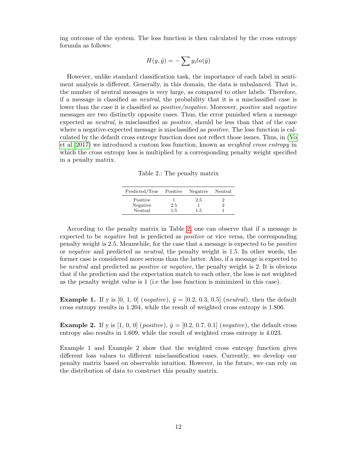ing outcome of the system. The loss function is then calculated by the cross entropy formula as follows:

$$
H(y, \hat{y}) = -\sum y_i ln(\hat{y})
$$

However, unlike standard classification task, the importance of each label in sentiment analysis is different. Generally, in this domain, the data is unbalanced. That is, the number of neutral messages is very large, as compared to other labels. Therefore, if a message is classified as neutral, the probability that it is a misclassified case is lower than the case it is classified as *positive/negative*. Moreover, *positive* and *negative* messages are two distinctly opposite cases. Thus, the error punished when a message expected as neutral, is misclassified as positive, should be less than that of the case where a negative-expected message is misclassified as *positive*. The loss function is calculated by the default cross entropy function does not reflect those issues. Thus, in [\(Vo](#page-25-10) [et al. 2017\)](#page-25-10) we introduced a custom loss function, known as weighted cross entropy in which the cross entropy loss is multiplied by a corresponding penalty weight specified in a penalty matrix.

Table 2.: The penalty matrix

| Predicted/True                  | Positive             | Negative   | Neutral |
|---------------------------------|----------------------|------------|---------|
| Positive<br>Negative<br>Neutral | 2.5<br>$1.5^{\circ}$ | 2.5<br>1.5 |         |

<span id="page-11-0"></span>According to the penalty matrix in Table [2,](#page-11-0) one can observe that if a message is expected to be negative but is predicted as positive or vice versa, the corresponding penalty weight is 2.5. Meanwhile, for the case that a message is expected to be positive or negative and predicted as neutral, the penalty weight is 1.5. In other words, the former case is considered more serious than the latter. Also, if a message is expected to be neutral and predicted as positive or negative, the penalty weight is 2. It is obvious that if the prediction and the expectation match to each other, the loss is not weighted as the penalty weight value is 1 (i.e the loss function is minimized in this case).

**Example 1.** If y is [0, 1, 0] (*negative*),  $\hat{y} = [0.2, 0.3, 0.5]$  (*neutral*), then the default cross entropy results in 1.204, while the result of weighted cross entropy is 1.806.

**Example 2.** If y is [1, 0, 0] (*positive*),  $\hat{y} = [0.2, 0.7, 0.1]$  (*negative*), the default cross entropy also results in 1.609, while the result of weighted cross entropy is 4.023.

Example 1 and Example 2 show that the weighted cross entropy function gives different loss values to different misclassification cases. Currently, we develop our penalty matrix based on observable intuition. However, in the future, we can rely on the distribution of data to construct this penalty matrix.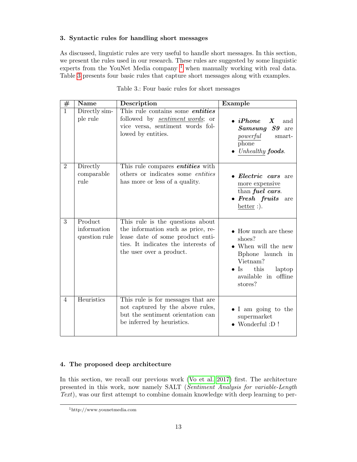## <span id="page-12-0"></span>3. Syntactic rules for handling short messages

As discussed, linguistic rules are very useful to handle short messages. In this section, we present the rules used in our research. These rules are suggested by some linguistic experts from the YouNet Media company  $1$  when manually working with real data. Table [3](#page-12-3) presents four basic rules that capture short messages along with examples.

<span id="page-12-3"></span>

| $\#$           | <b>Name</b>                             | Description                                                                                                                                                                   | Example                                                                                                                                                                   |
|----------------|-----------------------------------------|-------------------------------------------------------------------------------------------------------------------------------------------------------------------------------|---------------------------------------------------------------------------------------------------------------------------------------------------------------------------|
| $\overline{1}$ | Directly sim-<br>ple rule               | This rule contains some <i>entities</i><br>followed by <i>sentiment words</i> ; or<br>vice versa, sentiment words fol-<br>lowed by entities.                                  | $\bullet$ iPhone X<br>and<br>S9<br>$\begin{array}{c} \textrm{Samsung} \end{array}$<br>are<br>powerful<br>smart-<br>phone<br>Unhealthy <b>foods</b> .                      |
| $\overline{2}$ | Directly<br>comparable<br>rule          | This rule compares <i>entities</i> with<br>others or indicates some <i>entities</i><br>has more or less of a quality.                                                         | • Electric cars are<br>more expensive<br>than fuel cars.<br>$\bullet$ Fresh fruits<br>are<br>better $:$ ).                                                                |
| $\overline{3}$ | Product<br>information<br>question rule | This rule is the questions about<br>the information such as price, re-<br>lease date of some product enti-<br>ties. It indicates the interests of<br>the user over a product. | $\bullet$ How much are these<br>shoes?<br>• When will the new<br>Bphone launch in<br>Vietnam?<br>this<br>$\operatorname{Is}$<br>laptop<br>available in offline<br>stores? |
| $\overline{4}$ | Heuristics                              | This rule is for messages that are<br>not captured by the above rules,<br>but the sentiment orientation can<br>be inferred by heuristics.                                     | • I am going to the<br>supermarket<br>$\bullet$ Wonderful :D !                                                                                                            |

Table 3.: Four basic rules for short messages

## <span id="page-12-1"></span>4. The proposed deep architecture

In this section, we recall our previous work [\(Vo et al. 2017\)](#page-25-10) first. The architecture presented in this work, now namely SALT (Sentiment Analysis for variable-Length Text), was our first attempt to combine domain knowledge with deep learning to per-

<span id="page-12-2"></span><sup>1</sup>http://www.younetmedia.com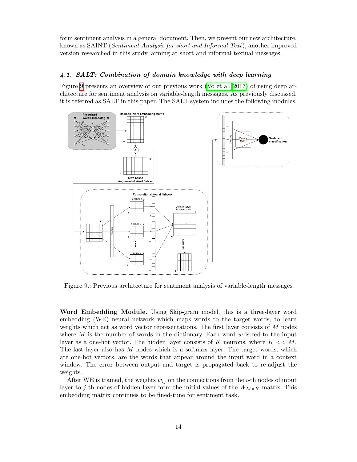form sentiment analysis in a general document. Then, we present our new architecture, known as SAINT (Sentiment Analysis for short and Informal Text), another improved version researched in this study, aiming at short and informal textual messages.

## 4.1. SALT: Combination of domain knowledge with deep learning

Figure [9](#page-13-0) presents an overview of our previous work [\(Vo et al. 2017\)](#page-25-10) of using deep architecture for sentiment analysis on variable-length messages. As previously discussed, it is referred as SALT in this paper. The SALT system includes the following modules.

<span id="page-13-0"></span>

Figure 9.: Previous architecture for sentiment analysis of variable-length messages

Word Embedding Module. Using Skip-gram model, this is a three-layer word embedding (WE) neural network which maps words to the target words, to learn weights which act as word vector representations. The first layer consists of M nodes where  $M$  is the number of words in the dictionary. Each word  $w$  is fed to the input layer as a one-hot vector. The hidden layer consists of K neurons, where  $K \ll M$ . The last layer also has  $M$  nodes which is a softmax layer. The target words, which are one-hot vectors, are the words that appear around the input word in a context window. The error between output and target is propagated back to re-adjust the weights.

After WE is trained, the weights  $w_{ij}$  on the connections from the *i*-th nodes of input layer to j-th nodes of hidden layer form the initial values of the  $W_{M\times K}$  matrix. This embedding matrix continues to be fined-tune for sentiment task.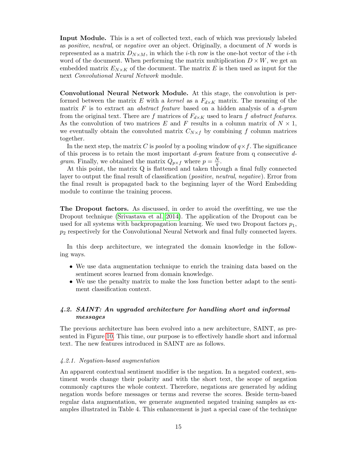Input Module. This is a set of collected text, each of which was previously labeled as positive, neutral, or negative over an object. Originally, a document of N words is represented as a matrix  $D_{N\times M}$ , in which the *i*-th row is the one-hot vector of the *i*-th word of the document. When performing the matrix multiplication  $D \times W$ , we get an embedded matrix  $E_{N\times K}$  of the document. The matrix E is then used as input for the next Convolutional Neural Network module.

Convolutional Neural Network Module. At this stage, the convolution is performed between the matrix E with a kernel as a  $F_{d\times K}$  matrix. The meaning of the matrix  $F$  is to extract an *abstract feature* based on a hidden analysis of a  $d\text{-}gram$ from the original text. There are f matrices of  $F_{d\times K}$  used to learn f abstract features. As the convolution of two matrices E and F results in a column matrix of  $N \times 1$ , we eventually obtain the convoluted matrix  $C_{N\times f}$  by combining f column matrices together.

In the next step, the matrix C is pooled by a pooling window of  $q \times f$ . The significance of this process is to retain the most important  $d\text{-}gram$  feature from q consecutive  $d\text{-}$ *gram*. Finally, we obtained the matrix  $Q_{p \times f}$  where  $p = \frac{N}{q}$  $\frac{N}{q}$  .

At this point, the matrix Q is flattened and taken through a final fully connected layer to output the final result of classification (positive, neutral, negative). Error from the final result is propagated back to the beginning layer of the Word Embedding module to continue the training process.

The Dropout factors. As discussed, in order to avoid the overfitting, we use the Dropout technique [\(Srivastava et al. 2014\)](#page-25-11). The application of the Dropout can be used for all systems with backpropagation learning. We used two Dropout factors  $p_1$ ,  $p_2$  respectively for the Convolutional Neural Network and final fully connected layers.

In this deep architecture, we integrated the domain knowledge in the following ways.

- We use data augmentation technique to enrich the training data based on the sentiment scores learned from domain knowledge.
- We use the penalty matrix to make the loss function better adapt to the sentiment classification context.

## 4.2. SAINT: An upgraded architecture for handling short and informal messages

The previous architecture has been evolved into a new architecture, SAINT, as presented in Figure [10.](#page-15-0) This time, our purpose is to effectively handle short and informal text. The new features introduced in SAINT are as follows.

### <span id="page-14-0"></span>4.2.1. Negation-based augmentation

An apparent contextual sentiment modifier is the negation. In a negated context, sentiment words change their polarity and with the short text, the scope of negation commonly captures the whole context. Therefore, negations are generated by adding negation words before messages or terms and reverse the scores. Beside term-based regular data augmentation, we generate augmented negated training samples as examples illustrated in Table 4. This enhancement is just a special case of the technique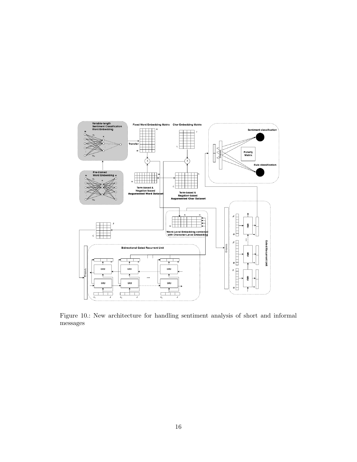<span id="page-15-0"></span>

Figure 10.: New architecture for handling sentiment analysis of short and informal messages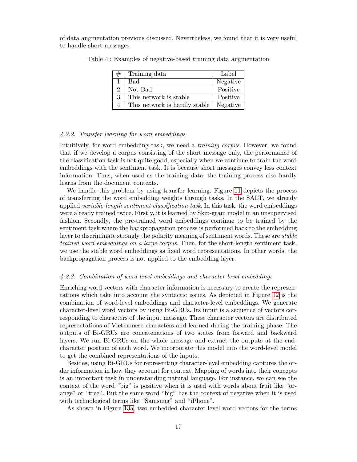of data augmentation previous discussed. Nevertheless, we found that it is very useful to handle short messages.

| # | Training data                            | Label    |
|---|------------------------------------------|----------|
|   | Bad                                      | Negative |
|   | Not Bad                                  | Positive |
| 3 | This network is stable                   | Positive |
|   | This network is hardly stable   Negative |          |

Table 4.: Examples of negative-based training data augmentation

### <span id="page-16-0"></span>4.2.2. Transfer learning for word embeddings

Intuitively, for word embedding task, we need a training corpus. However, we found that if we develop a corpus consisting of the short message only, the performance of the classification task is not quite good, especially when we continue to train the word embeddings with the sentiment task. It is because short messages convey less context information. Thus, when used as the training data, the training process also hardly learns from the document contexts.

We handle this problem by using transfer learning. Figure [11](#page-17-0) depicts the process of transferring the word embedding weights through tasks. In the SALT, we already applied variable-length sentiment classification task. In this task, the word embeddings were already trained twice. Firstly, it is learned by Skip-gram model in an unsupervised fashion. Secondly, the pre-trained word embeddings continue to be trained by the sentiment task where the backpropagation process is performed back to the embedding layer to discriminate strongly the polarity meaning of sentiment words. These are *stable* trained word embeddings on a large corpus. Then, for the short-length sentiment task, we use the stable word embeddings as fixed word representations. In other words, the backpropagation process is not applied to the embedding layer.

### <span id="page-16-1"></span>4.2.3. Combination of word-level embeddings and character-level embeddings

Enriching word vectors with character information is necessary to create the representations which take into account the syntactic issues. As depicted in Figure [12](#page-17-1) is the combination of word-level embeddings and character-level embeddings. We generate character-level word vectors by using Bi-GRUs. Its input is a sequence of vectors corresponding to characters of the input message. These character vectors are distributed representations of Vietnamese characters and learned during the training phase. The outputs of Bi-GRUs are concatenations of two states from forward and backward layers. We run Bi-GRUs on the whole message and extract the outputs at the endcharacter position of each word. We incorporate this model into the word-level model to get the combined representations of the inputs.

Besides, using Bi-GRUs for representing character-level embedding captures the order information in how they account for context. Mapping of words into their concepts is an important task in understanding natural language. For instance, we can see the context of the word "big" is positive when it is used with words about fruit like "orange" or "tree". But the same word "big" has the context of negative when it is used with technological terms like "Samsung" and "iPhone".

As shown in Figure [13a,](#page-18-0) two embedded character-level word vectors for the terms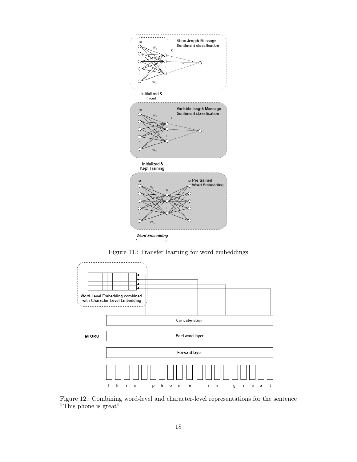<span id="page-17-0"></span>

Figure 11.: Transfer learning for word embeddings

<span id="page-17-1"></span>

Figure 12.: Combining word-level and character-level representations for the sentence "This phone is great"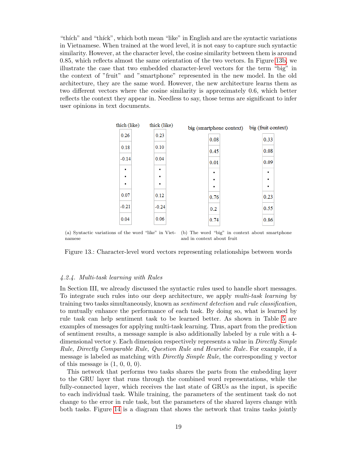"thích" and "thíck", which both mean "like" in English and are the syntactic variations in Vietnamese. When trained at the word level, it is not easy to capture such syntactic similarity. However, at the character level, the cosine similarity between them is around 0.85, which reflects almost the same orientation of the two vectors. In Figure [13b,](#page-18-1) we illustrate the case that two embedded character-level vectors for the term "big" in the context of "fruit" and "smartphone" represented in the new model. In the old architecture, they are the same word. However, the new architecture learns them as two different vectors where the cosine similarity is approximately 0.6, which better reflects the context they appear in. Needless to say, those terms are significant to infer user opinions in text documents.

<span id="page-18-0"></span>

| thich (like)        | thick (like) | big (smartphone context) | big (fruit context) |
|---------------------|--------------|--------------------------|---------------------|
| 0.26                | 0.23         | 0.08                     | 0.33                |
| 0.18                | 0.10         | 0.45                     | 0.08                |
| $-0.14$             | 0.04         | 0.01                     | 0.09                |
| $\blacksquare$<br>٠ | ٠<br>٠       | ٠                        | ٠                   |
| $\blacksquare$      | ٠            | ٠<br>$\blacksquare$      | ٠<br>٠              |
| 0.07                | 0.12         | 0.76                     | 0.23                |
| $-0.21$             | $-0.24$      | 0.2                      | 0.55                |
| 0.04                | 0.06         | 0.74                     | 0.86                |
|                     |              |                          |                     |

<span id="page-18-1"></span>(a) Syntactic variations of the word "like" in Viet-(b) The word "big" in context about smartphone namese and in context about fruit

Figure 13.: Character-level word vectors representing relationships between words

### <span id="page-18-2"></span>4.2.4. Multi-task learning with Rules

In Section III, we already discussed the syntactic rules used to handle short messages. To integrate such rules into our deep architecture, we apply multi-task learning by training two tasks simultaneously, known as sentiment detection and rule classification, to mutually enhance the performance of each task. By doing so, what is learned by rule task can help sentiment task to be learned better. As shown in Table [5](#page-19-1) are examples of messages for applying multi-task learning. Thus, apart from the prediction of sentiment results, a message sample is also additionally labeled by a rule with a 4 dimensional vector y. Each dimension respectively represents a value in Directly Simple Rule, Directly Comparable Rule, Question Rule and Heuristic Rule. For example, if a message is labeled as matching with Directly Simple Rule, the corresponding y vector of this message is  $(1, 0, 0, 0)$ .

This network that performs two tasks shares the parts from the embedding layer to the GRU layer that runs through the combined word representations, while the fully-connected layer, which receives the last state of GRUs as the input, is specific to each individual task. While training, the parameters of the sentiment task do not change to the error in rule task, but the parameters of the shared layers change with both tasks. Figure [14](#page-19-2) is a diagram that shows the network that trains tasks jointly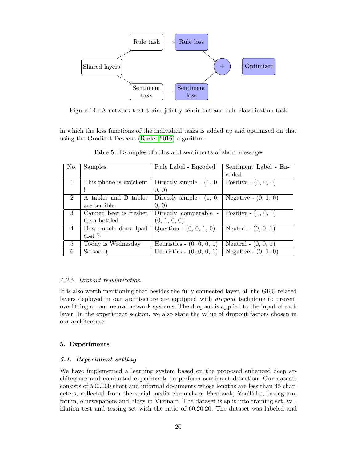<span id="page-19-2"></span>

Figure 14.: A network that trains jointly sentiment and rule classification task

<span id="page-19-1"></span>in which the loss functions of the individual tasks is added up and optimized on that using the Gradient Descent [\(Ruder 2016\)](#page-25-16) algorithm.

| No.            | Samples                 | Rule Label - Encoded          | Sentiment Label - En-  |
|----------------|-------------------------|-------------------------------|------------------------|
|                |                         |                               | coded                  |
| 1              | This phone is excellent | Directly simple - $(1, 0, 0)$ | Positive - $(1, 0, 0)$ |
|                |                         | (0, 0)                        |                        |
| $\overline{2}$ | A tablet and B tablet   | Directly simple $ (1, 0, 0)$  | Negative $- (0, 1, 0)$ |
|                | are terrible            | (0, 0)                        |                        |
| 3              | Canned beer is fresher  | Directly comparable -         | Positive - $(1, 0, 0)$ |
|                | than bottled            | (0, 1, 0, 0)                  |                        |
| 4              | How much does Ipad      | Question - $(0, 0, 1, 0)$     | Neutral $- (0, 0, 1)$  |
|                | $\cos t$ ?              |                               |                        |
| 5              | Today is Wednesday      | Heuristics - $(0, 0, 0, 1)$   | Neutral $- (0, 0, 1)$  |
| 6              | So sad: $($             | Heuristics - $(0, 0, 0, 1)$   | Negative - $(0, 1, 0)$ |

Table 5.: Examples of rules and sentiments of short messages

### 4.2.5. Dropout regularization

It is also worth mentioning that besides the fully connected layer, all the GRU related layers deployed in our architecture are equipped with *dropout* technique to prevent overfitting on our neural network systems. The dropout is applied to the input of each layer. In the experiment section, we also state the value of dropout factors chosen in our architecture.

### <span id="page-19-0"></span>5. Experiments

### 5.1. Experiment setting

We have implemented a learning system based on the proposed enhanced deep architecture and conducted experiments to perform sentiment detection. Our dataset consists of 500,000 short and informal documents whose lengths are less than 45 characters, collected from the social media channels of Facebook, YouTube, Instagram, forum, e-newspapers and blogs in Vietnam. The dataset is split into training set, validation test and testing set with the ratio of 60:20:20. The dataset was labeled and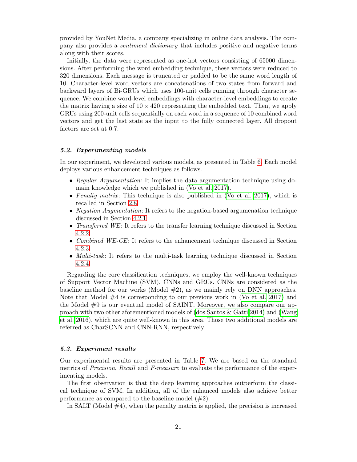provided by YouNet Media, a company specializing in online data analysis. The company also provides a sentiment dictionary that includes positive and negative terms along with their scores.

Initially, the data were represented as one-hot vectors consisting of 65000 dimensions. After performing the word embedding technique, these vectors were reduced to 320 dimensions. Each message is truncated or padded to be the same word length of 10. Character-level word vectors are concatenations of two states from forward and backward layers of Bi-GRUs which uses 100-unit cells running through character sequence. We combine word-level embeddings with character-level embeddings to create the matrix having a size of  $10 \times 420$  representing the embedded text. Then, we apply GRUs using 200-unit cells sequentially on each word in a sequence of 10 combined word vectors and get the last state as the input to the fully connected layer. All dropout factors are set at 0.7.

### 5.2. Experimenting models

In our experiment, we developed various models, as presented in Table [6.](#page-21-1) Each model deploys various enhancement techniques as follows.

- Regular Argumentation: It implies the data argumentation technique using domain knowledge which we published in [\(Vo et al. 2017\)](#page-25-10).
- Penalty matrix: This technique is also published in [\(Vo et al. 2017\)](#page-25-10), which is recalled in Section [2.8](#page-10-1)
- *Negation Augmentation*: It refers to the negation-based argumenation technique discussed in Section [4.2.1](#page-14-0)
- Transferred WE: It refers to the transfer learning technique discussed in Section [4.2.2](#page-16-0)
- Combined WE-CE: It refers to the enhancement technique discussed in Section [4.2.3](#page-16-1)
- *Multi-task*: It refers to the multi-task learning technique discussed in Section [4.2.4](#page-18-2)

Regarding the core classification techniques, we employ the well-known techniques of Support Vector Machine (SVM), CNNs and GRUs. CNNs are considered as the baseline method for our works (Model  $#2$ ), as we mainly rely on DNN approaches. Note that Model  $#4$  is corresponding to our previous work in [\(Vo et al. 2017\)](#page-25-10) and the Model #9 is our eventual model of SAINT. Moreover, we also compare our approach with two other aforementioned models of [\(dos Santos & Gatti 2014\)](#page-23-10) and [\(Wang](#page-25-7) [et al. 2016\)](#page-25-7), which are quite well-known in this area. Those two additional models are referred as CharSCNN and CNN-RNN, respectively.

### 5.3. Experiment results

Our experimental results are presented in Table [7.](#page-22-0) We are based on the standard metrics of *Precision, Recall* and *F-measure* to evaluate the performance of the experimenting models.

The first observation is that the deep learning approaches outperform the classical technique of SVM. In addition, all of the enhanced models also achieve better performance as compared to the baseline model  $(\#2)$ .

In SALT (Model  $\#4$ ), when the penalty matrix is applied, the precision is increased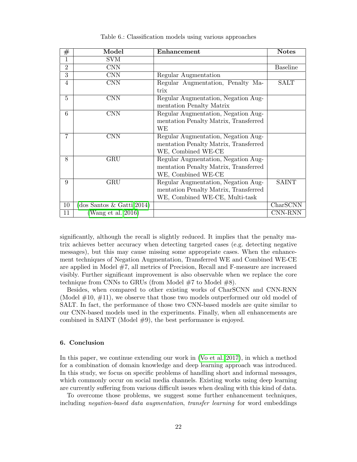<span id="page-21-1"></span>

| $^{\#}$        | Model                     | Enhancement                           | <b>Notes</b>    |
|----------------|---------------------------|---------------------------------------|-----------------|
| 1              | <b>SVM</b>                |                                       |                 |
| $\overline{2}$ | <b>CNN</b>                |                                       | <b>Baseline</b> |
| 3              | <b>CNN</b>                | Regular Augmentation                  |                 |
| 4              | <b>CNN</b>                | Regular Augmentation, Penalty Ma-     | <b>SALT</b>     |
|                |                           | trix                                  |                 |
| 5              | <b>CNN</b>                | Regular Augmentation, Negation Aug-   |                 |
|                |                           | mentation Penalty Matrix              |                 |
| 6              | <b>CNN</b>                | Regular Augmentation, Negation Aug-   |                 |
|                |                           | mentation Penalty Matrix, Transferred |                 |
|                |                           | WЕ                                    |                 |
| $\overline{7}$ | $\rm CNN$                 | Regular Augmentation, Negation Aug-   |                 |
|                |                           | mentation Penalty Matrix, Transferred |                 |
|                |                           | WE, Combined WE-CE                    |                 |
| 8              | GRU                       | Regular Augmentation, Negation Aug-   |                 |
|                |                           | mentation Penalty Matrix, Transferred |                 |
|                |                           | WE, Combined WE-CE                    |                 |
| 9              | GRU                       | Regular Augmentation, Negation Aug-   | <b>SAINT</b>    |
|                |                           | mentation Penalty Matrix, Transferred |                 |
|                |                           | WE, Combined WE-CE, Multi-task        |                 |
| 10             | (dos Santos & Gatti 2014) |                                       | CharSCNN        |
| 11             | Wang et al. 2016)         |                                       | CNN-RNN         |

Table 6.: Classification models using various approaches

significantly, although the recall is slightly reduced. It implies that the penalty matrix achieves better accuracy when detecting targeted cases (e.g. detecting negative messages), but this may cause missing some appropriate cases. When the enhancement techniques of Negation Augmentation, Transferred WE and Combined WE-CE are applied in Model #7, all metrics of Precision, Recall and F-measure are increased visibly. Further significant improvement is also observable when we replace the core technique from CNNs to GRUs (from Model  $#7$  to Model  $#8$ ).

Besides, when compared to other existing works of CharSCNN and CNN-RNN (Model  $\#10, \#11$ ), we observe that those two models outperformed our old model of SALT. In fact, the performance of those two CNN-based models are quite similar to our CNN-based models used in the experiments. Finally, when all enhancements are combined in SAINT (Model #9), the best performance is enjoyed.

## <span id="page-21-0"></span>6. Conclusion

In this paper, we continue extending our work in [\(Vo et al. 2017\)](#page-25-10), in which a method for a combination of domain knowledge and deep learning approach was introduced. In this study, we focus on specific problems of handling short and informal messages, which commonly occur on social media channels. Existing works using deep learning are currently suffering from various difficult issues when dealing with this kind of data.

To overcome those problems, we suggest some further enhancement techniques, including negation-based data augmentation, transfer learning for word embeddings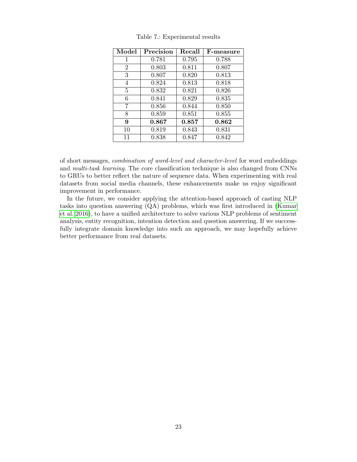<span id="page-22-0"></span>

| Model          | Precision | Recall | F-measure |
|----------------|-----------|--------|-----------|
| 1              | 0.781     | 0.795  | 0.788     |
| $\overline{2}$ | 0.803     | 0.811  | 0.807     |
| 3              | 0.807     | 0.820  | 0.813     |
| 4              | 0.824     | 0.813  | 0.818     |
| 5              | 0.832     | 0.821  | 0.826     |
| 6              | 0.841     | 0.829  | 0.835     |
| 7              | 0.856     | 0.844  | 0.850     |
| 8              | 0.859     | 0.851  | 0.855     |
| 9              | 0.867     | 0.857  | 0.862     |
| 10             | 0.819     | 0.843  | 0.831     |
| 11             | 0.838     | 0.847  | 0.842     |

Table 7.: Experimental results

of short messages, combination of word-level and character-level for word embeddings and multi-task learning. The core classification technique is also changed from CNNs to GRUs to better reflect the nature of sequence data. When experimenting with real datasets from social media channels, these enhancements make us enjoy significant improvement in performance.

In the future, we consider applying the attention-based approach of casting NLP tasks into question answering (QA) problems, which was first introduced in [\(Kumar](#page-24-15) [et al. 2016\)](#page-24-15), to have a unified architecture to solve various NLP problems of sentiment analysis, entity recognition, intention detection and question answering. If we successfully integrate domain knowledge into such an approach, we may hopefully achieve better performance from real datasets.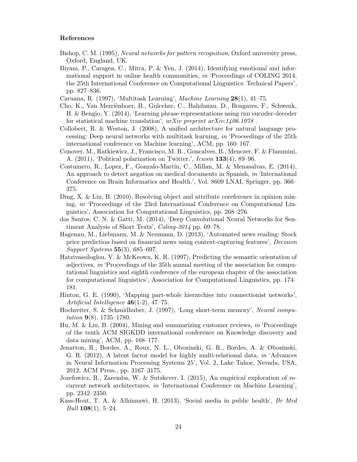### References

- <span id="page-23-16"></span>Bishop, C. M. (1995), Neural networks for pattern recognition, Oxford university press, Oxford, England, UK.
- <span id="page-23-1"></span>Biyani, P., Caragea, C., Mitra, P. & Yen, J. (2014), Identifying emotional and informational support in online health communities, in 'Proceedings of COLING 2014, the 25th International Conference on Computational Linguistics: Technical Papers', pp. 827–836.
- <span id="page-23-14"></span>Caruana, R. (1997), 'Multitask Learning', Machine Learning 28(1), 41–75.
- <span id="page-23-12"></span>Cho, K., Van Merriënboer, B., Gulcehre, C., Bahdanau, D., Bougares, F., Schwenk, H. & Bengio, Y. (2014), 'Learning phrase representations using rnn encoder-decoder for statistical machine translation',  $arXiv$  preprint  $arXiv:1406.1078$ .
- <span id="page-23-15"></span>Collobert, R. & Weston, J. (2008), A unified architecture for natural language processing: Deep neural networks with multitask learning, in 'Proceedings of the 25th international conference on Machine learning', ACM, pp. 160–167.
- <span id="page-23-8"></span>Conover, M., Ratkiewicz, J., Francisco, M. R., Goncalves, B., Menczer, F. & Flammini, A.  $(2011)$ , 'Political polarization on Twitter.',  $Icwsm$  **133** $(4)$ , 89–96.
- <span id="page-23-0"></span>Costumero, R., Lopez, F., Gonzalo-Mart´ın, C., Millan, M. & Menasalvas, E. (2014), An approach to detect negation on medical documents in Spanish, in 'International Conference on Brain Informatics and Health.', Vol. 8609 LNAI, Springer, pp. 366– 375.
- <span id="page-23-3"></span>Ding, X. & Liu, B. (2010), Resolving object and attribute coreference in opinion mining, in 'Proceedings of the 23rd International Conference on Computational Linguistics', Association for Computational Linguistics, pp. 268–276.
- <span id="page-23-10"></span>dos Santos, C. N. & Gatti, M. (2014), 'Deep Convolutional Neural Networks for Sentiment Analysis of Short Texts', Coling-2014 pp. 69–78.
- <span id="page-23-2"></span>Hagenau, M., Liebmann, M. & Neumann, D. (2013), 'Automated news reading: Stock price prediction based on financial news using context-capturing features', Decision Support Systems 55(3), 685–697.
- <span id="page-23-5"></span>Hatzivassiloglou, V. & McKeown, K. R. (1997), Predicting the semantic orientation of adjectives, in 'Proceedings of the 35th annual meeting of the association for computational linguistics and eighth conference of the european chapter of the association for computational linguistics', Association for Computational Linguistics, pp. 174– 181.
- <span id="page-23-6"></span>Hinton, G. E. (1990), 'Mapping part-whole hierarchies into connectionist networks', Artificial Intelligence  $46(1-2)$ , 47-75.
- <span id="page-23-11"></span>Hochreiter, S. & Schmidhuber, J. (1997), 'Long short-term memory', Neural computation  $9(8)$ , 1735–1780.
- <span id="page-23-4"></span>Hu, M. & Liu, B. (2004), Mining and summarizing customer reviews, in 'Proceedings of the tenth ACM SIGKDD international conference on Knowledge discovery and data mining', ACM, pp. 168–177.
- <span id="page-23-7"></span>Jenatton, R., Bordes, A., Roux, N. L., Obozinski, G. R., Bordes, A. & Obozinski, G. R. (2012), A latent factor model for highly multi-relational data, in 'Advances in Neural Information Processing Systems 25', Vol. 2, Lake Tahoe, Nevada, USA, 2012, ACM Press., pp. 3167–3175.
- <span id="page-23-13"></span>Jozefowicz, R., Zaremba, W. & Sutskever, I. (2015), An empirical exploration of recurrent network architectures, in 'International Conference on Machine Learning', pp. 2342–2350.
- <span id="page-23-9"></span>Kass-Hout, T. A. & Alhinnawi, H. (2013), 'Social media in public health', Br Med *Bull* **108**(1), 5–24.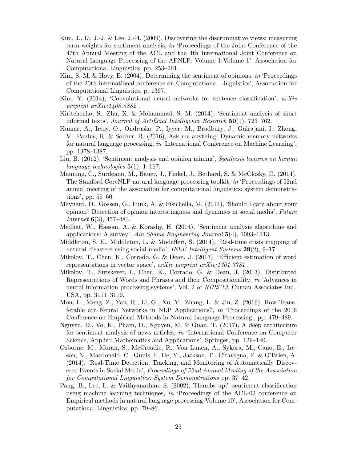- <span id="page-24-1"></span>Kim, J., Li, J.-J. & Lee, J.-H. (2009), Discovering the discriminative views: measuring term weights for sentiment analysis, in 'Proceedings of the Joint Conference of the 47th Annual Meeting of the ACL and the 4th International Joint Conference on Natural Language Processing of the AFNLP: Volume 1-Volume 1', Association for Computational Linguistics, pp. 253–261.
- <span id="page-24-3"></span>Kim, S.-M. & Hovy, E. (2004), Determining the sentiment of opinions, in 'Proceedings of the 20th international conference on Computational Linguistics', Association for Computational Linguistics, p. 1367.
- <span id="page-24-5"></span>Kim, Y. (2014), 'Convolutional neural networks for sentence classification',  $arXiv$ preprint arXiv:1408.5882 .
- <span id="page-24-11"></span>Kiritchenko, S., Zhu, X. & Mohammad, S. M. (2014), 'Sentiment analysis of short informal texts', *Journal of Artificial Intelligence Research*  $50(1)$ ,  $723-762$ .
- <span id="page-24-15"></span>Kumar, A., Irsoy, O., Ondruska, P., Iyyer, M., Bradbury, J., Gulrajani, I., Zhong, V., Paulus, R. & Socher, R. (2016), Ask me anything: Dynamic memory networks for natural language processing, in 'International Conference on Machine Learning', pp. 1378–1387.
- <span id="page-24-0"></span>Liu, B. (2012), 'Sentiment analysis and opinion mining', Synthesis lectures on human language technologies  $5(1)$ , 1–167.
- <span id="page-24-4"></span>Manning, C., Surdeanu, M., Bauer, J., Finkel, J., Bethard, S. & McClosky, D. (2014), The Stanford CoreNLP natural language processing toolkit, in 'Proceedings of 52nd annual meeting of the association for computational linguistics: system demonstrations', pp. 55–60.
- <span id="page-24-9"></span>Maynard, D., Gossen, G., Funk, A. & Fisichella, M. (2014), 'Should I care about your opinion? Detection of opinion interestingness and dynamics in social media', Future *Internet*  $6(3)$ ,  $457-481$ .
- <span id="page-24-10"></span>Medhat, W., Hassan, A. & Korashy, H. (2014), 'Sentiment analysis algorithms and applications: A survey', Ain Shams Engineering Journal  $5(4)$ , 1093–1113.
- <span id="page-24-7"></span>Middleton, S. E., Middleton, L. & Modafferi, S. (2014), 'Real-time crisis mapping of natural disasters using social media', IEEE Intelligent Systems  $29(2)$ , 9-17.
- <span id="page-24-13"></span>Mikolov, T., Chen, K., Corrado, G. & Dean, J. (2013), 'Efficient estimation of word representations in vector space', arXiv preprint arXiv:1301.3781 .
- <span id="page-24-12"></span>Mikolov, T., Sutskever, I., Chen, K., Corrado, G. & Dean, J. (2013), Distributed Representations of Words and Phrases and their Compositionality, in 'Advances in neural information processing systems', Vol. 2 of NIPS'13, Curran Associates Inc., USA, pp. 3111–3119.
- <span id="page-24-14"></span>Mou, L., Meng, Z., Yan, R., Li, G., Xu, Y., Zhang, L. & Jin, Z. (2016), How Transferable are Neural Networks in NLP Applications?, in 'Proceedings of the 2016 Conference on Empirical Methods in Natural Language Processing', pp. 479–489.
- <span id="page-24-6"></span>Nguyen, D., Vo, K., Pham, D., Nguyen, M. & Quan, T. (2017), A deep architecture for sentiment analysis of news articles, in 'International Conference on Computer Science, Applied Mathematics and Applications', Springer, pp. 129–140.
- <span id="page-24-8"></span>Osborne, M., Moran, S., McCreadie, R., Von Lunen, A., Sykora, M., Cano, E., Ireson, N., Macdonald, C., Ounis, I., He, Y., Jackson, T., Ciravegna, F. & O'Brien, A. (2014), 'Real-Time Detection, Tracking, and Monitoring of Automatically Discovered Events in Social Media', Proceedings of 52nd Annual Meeting of the Association for Computational Linguistics: System Demonstrations pp. 37–42.
- <span id="page-24-2"></span>Pang, B., Lee, L. & Vaithyanathan, S. (2002), Thumbs up?: sentiment classification using machine learning techniques, in 'Proceedings of the ACL-02 conference on Empirical methods in natural language processing-Volume 10', Association for Computational Linguistics, pp. 79–86.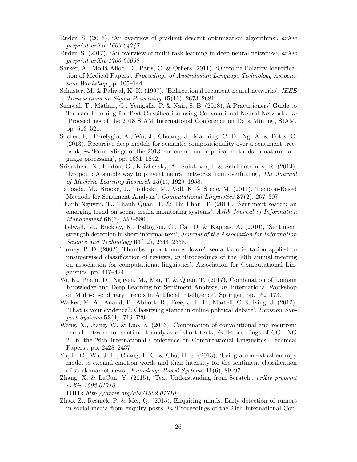- <span id="page-25-16"></span>Ruder, S. (2016), 'An overview of gradient descent optimization algorithms', arXiv preprint  $arXiv:1609.04747$ .
- <span id="page-25-14"></span>Ruder, S. (2017), 'An overview of multi-task learning in deep neural networks', arXiv preprint arXiv:1706.05098 .
- <span id="page-25-0"></span>Sarker, A., Mollá-Aliod, D., Paris, C. & Others  $(2011)$ , 'Outcome Polarity Identification of Medical Papers', Proceedings of Australasian Language Technology Association Workshop pp. 105–144.
- <span id="page-25-12"></span>Schuster, M. & Paliwal, K. K. (1997), 'Bidirectional recurrent neural networks', IEEE Transactions on Signal Processing 45(11), 2673–2681.
- <span id="page-25-13"></span>Semwal, T., Mathur, G., Yenigalla, P. & Nair, S. B. (2018), A Practitioners' Guide to Transfer Learning for Text Classification using Convolutional Neural Networks, in 'Proceedings of the 2018 SIAM International Conference on Data Mining', SIAM, pp. 513–521.
- <span id="page-25-5"></span>Socher, R., Perelygin, A., Wu, J., Chuang, J., Manning, C. D., Ng, A. & Potts, C. (2013), Recursive deep models for semantic compositionality over a sentiment treebank, in 'Proceedings of the 2013 conference on empirical methods in natural language processing', pp. 1631–1642.
- <span id="page-25-11"></span>Srivastava, N., Hinton, G., Krizhevsky, A., Sutskever, I. & Salakhutdinov, R. (2014), 'Dropout: A simple way to prevent neural networks from overfitting', The Journal of Machine Learning Research 15(1), 1929–1958.
- <span id="page-25-4"></span>Taboada, M., Brooke, J., Tofiloski, M., Voll, K. & Stede, M. (2011), 'Lexicon-Based Methods for Sentiment Analysis', Computational Linguistics 37(2), 267–307.
- <span id="page-25-15"></span>Thanh Nguyen, T., Thanh Quan, T. & Thi Phan, T. (2014), 'Sentiment search: an emerging trend on social media monitoring systems', Aslib Journal of Information Management **66**(5), 553–580.
- <span id="page-25-9"></span>Thelwall, M., Buckley, K., Paltoglou, G., Cai, D. & Kappas, A. (2010), 'Sentiment strength detection in short informal text', Journal of the Association for Information Science and Technology  $61(12)$ ,  $2544-2558$ .
- <span id="page-25-3"></span>Turney, P. D. (2002), Thumbs up or thumbs down?: semantic orientation applied to unsupervised classification of reviews, in 'Proceedings of the 40th annual meeting on association for computational linguistics', Association for Computational Linguistics, pp. 417–424.
- <span id="page-25-10"></span>Vo, K., Pham, D., Nguyen, M., Mai, T. & Quan, T. (2017), Combination of Domain Knowledge and Deep Learning for Sentiment Analysis, in 'International Workshop on Multi-disciplinary Trends in Artificial Intelligence', Springer, pp. 162–173.
- <span id="page-25-2"></span>Walker, M. A., Anand, P., Abbott, R., Tree, J. E. F., Martell, C. & King, J. (2012), 'That is your evidence?: Classifying stance in online political debate', Decision Support Systems 53(4), 719–729.
- <span id="page-25-7"></span>Wang, X., Jiang, W. & Luo, Z. (2016), Combination of convolutional and recurrent neural network for sentiment analysis of short texts, in 'Proceedings of COLING 2016, the 26th International Conference on Computational Linguistics: Technical Papers', pp. 2428–2437.
- <span id="page-25-1"></span>Yu, L. C., Wu, J. L., Chang, P. C. & Chu, H. S. (2013), 'Using a contextual entropy model to expand emotion words and their intensity for the sentiment classification of stock market news', Knowledge-Based Systems 41(6), 89–97.
- <span id="page-25-6"></span>Zhang, X. & LeCun, Y. (2015), 'Text Understanding from Scratch', arXiv preprint arXiv:1502.01710 .

URL: http://arxiv.org/abs/1502.01710

<span id="page-25-8"></span>Zhao, Z., Resnick, P. & Mei, Q. (2015), Enquiring minds: Early detection of rumors in social media from enquiry posts, in 'Proceedings of the 24th International Con